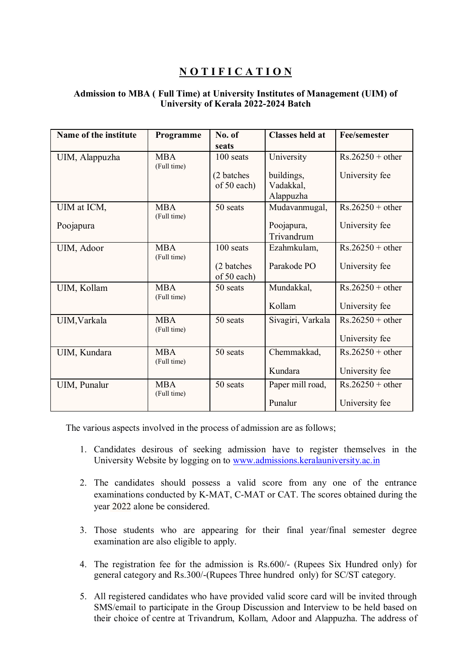## **N O T I F I C A T I O N**

## **Admission to MBA ( Full Time) at University Institutes of Management (UIM) of University of Kerala 2022-2024 Batch**

| Name of the institute | Programme                 | No. of<br>seats           | <b>Classes held at</b>   | <b>Fee/semester</b> |
|-----------------------|---------------------------|---------------------------|--------------------------|---------------------|
| UIM, Alappuzha        | <b>MBA</b><br>(Full time) | 100 seats                 | University               | $Rs.26250 + other$  |
|                       |                           | (2 batches<br>of 50 each) | buildings,<br>Vadakkal,  | University fee      |
|                       |                           |                           | Alappuzha                |                     |
| UIM at ICM,           | <b>MBA</b><br>(Full time) | 50 seats                  | Mudavanmugal,            | $Rs.26250 + other$  |
| Poojapura             |                           |                           | Poojapura,<br>Trivandrum | University fee      |
| UIM, Adoor            | <b>MBA</b><br>(Full time) | 100 seats                 | Ezahmkulam,              | $Rs.26250 + other$  |
|                       |                           | (2 batches<br>of 50 each) | Parakode PO              | University fee      |
| UIM, Kollam           | <b>MBA</b><br>(Full time) | 50 seats                  | Mundakkal,               | $Rs.26250 + other$  |
|                       |                           |                           | Kollam                   | University fee      |
| UIM, Varkala          | <b>MBA</b><br>(Full time) | 50 seats                  | Sivagiri, Varkala        | $Rs.26250 + other$  |
|                       |                           |                           |                          | University fee      |
| UIM, Kundara          | <b>MBA</b><br>(Full time) | 50 seats                  | Chemmakkad,              | $Rs.26250 + other$  |
|                       |                           |                           | Kundara                  | University fee      |
| UIM, Punalur          | <b>MBA</b><br>(Full time) | 50 seats                  | Paper mill road,         | $Rs.26250 + other$  |
|                       |                           |                           | Punalur                  | University fee      |

The various aspects involved in the process of admission are as follows;

- 1. Candidates desirous of seeking admission have to register themselves in the University Website by logging on to [www.admissions.keralauniversity.ac.in](http://www.admissions.keralauniversity.ac.in/)
- 2. The candidates should possess a valid score from any one of the entrance examinations conducted by K-MAT, C-MAT or CAT. The scores obtained during the year 2022 alone be considered.
- 3. Those students who are appearing for their final year/final semester degree examination are also eligible to apply.
- 4. The registration fee for the admission is Rs.600/- (Rupees Six Hundred only) for general category and Rs.300/-(Rupees Three hundred only) for SC/ST category.
- 5. All registered candidates who have provided valid score card will be invited through SMS/email to participate in the Group Discussion and Interview to be held based on their choice of centre at Trivandrum, Kollam, Adoor and Alappuzha. The address of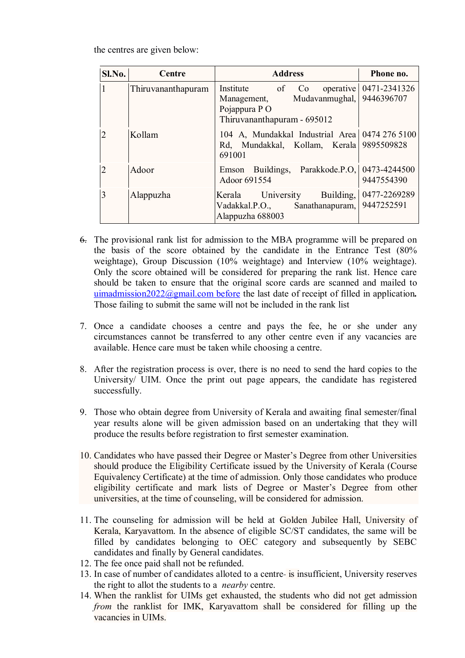the centres are given below:

| $Sl$ . No.     | Centre             | <b>Address</b>                                                                                             | Phone no.                  |
|----------------|--------------------|------------------------------------------------------------------------------------------------------------|----------------------------|
| 1              | Thiruvananthapuram | Institute of Co<br>Mudavanmughal, 9446396707<br>Management,<br>Pojappura PO<br>Thiruvananthapuram - 695012 | operative   0471-2341326   |
| $\overline{2}$ | Kollam             | 104 A, Mundakkal Industrial Area 0474 276 5100<br>Rd, Mundakkal, Kollam, Kerala 9895509828<br>691001       |                            |
| $\mathfrak{D}$ | Adoor              | Emson Buildings, Parakkode.P.O. 0473-4244500<br>Adoor 691554                                               | 9447554390                 |
| 3              | Alappuzha          | Kerala University<br>Building,<br>Vadakkal.P.O., Sanathanapuram,<br>Alappuzha 688003                       | 0477-2269289<br>9447252591 |

- 6. The provisional rank list for admission to the MBA programme will be prepared on the basis of the score obtained by the candidate in the Entrance Test (80% weightage), Group Discussion (10% weightage) and Interview (10% weightage). Only the score obtained will be considered for preparing the rank list. Hence care should be taken to ensure that the original score cards are scanned and mailed to [uimadmission2022@gmail.com before](mailto:%20uimadmission2022@gmail.com%20before) the last date of receipt of filled in application*.* Those failing to submit the same will not be included in the rank list
- 7. Once a candidate chooses a centre and pays the fee, he or she under any circumstances cannot be transferred to any other centre even if any vacancies are available. Hence care must be taken while choosing a centre.
- 8. After the registration process is over, there is no need to send the hard copies to the University/ UIM. Once the print out page appears, the candidate has registered successfully.
- 9. Those who obtain degree from University of Kerala and awaiting final semester/final year results alone will be given admission based on an undertaking that they will produce the results before registration to first semester examination.
- 10. Candidates who have passed their Degree or Master's Degree from other Universities should produce the Eligibility Certificate issued by the University of Kerala (Course Equivalency Certificate) at the time of admission. Only those candidates who produce eligibility certificate and mark lists of Degree or Master's Degree from other universities, at the time of counseling, will be considered for admission.
- 11. The counseling for admission will be held at Golden Jubilee Hall, University of Kerala, Karyavattom. In the absence of eligible SC/ST candidates, the same will be filled by candidates belonging to OEC category and subsequently by SEBC candidates and finally by General candidates.
- 12. The fee once paid shall not be refunded.
- 13. In case of number of candidates alloted to a centre is insufficient, University reserves the right to allot the students to a *nearby* centre.
- 14. When the ranklist for UIMs get exhausted, the students who did not get admission *from* the ranklist for IMK, Karyavattom shall be considered for filling up the vacancies in UIMs.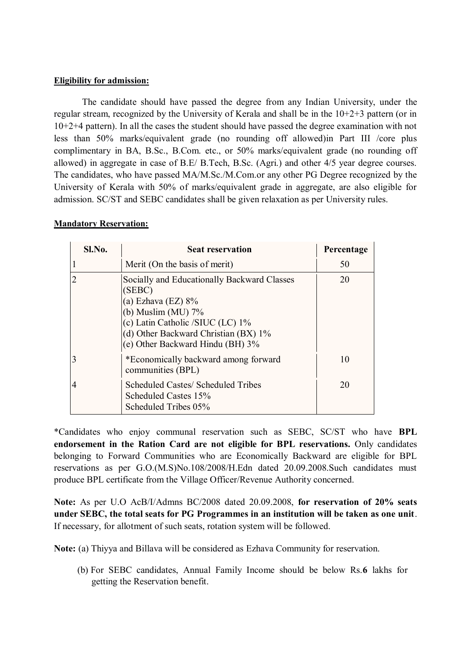## **Eligibility for admission:**

The candidate should have passed the degree from any Indian University, under the regular stream, recognized by the University of Kerala and shall be in the 10+2+3 pattern (or in 10+2+4 pattern). In all the cases the student should have passed the degree examination with not less than 50% marks/equivalent grade (no rounding off allowed)in Part III /core plus complimentary in BA, B.Sc., B.Com. etc., or 50% marks/equivalent grade (no rounding off allowed) in aggregate in case of B.E/ B.Tech, B.Sc. (Agri.) and other 4/5 year degree courses. The candidates, who have passed MA/M.Sc./M.Com.or any other PG Degree recognized by the University of Kerala with 50% of marks/equivalent grade in aggregate, are also eligible for admission. SC/ST and SEBC candidates shall be given relaxation as per University rules.

| Sl.No.         | <b>Seat reservation</b>                                                                                                                                                                                                 | Percentage |
|----------------|-------------------------------------------------------------------------------------------------------------------------------------------------------------------------------------------------------------------------|------------|
|                | Merit (On the basis of merit)                                                                                                                                                                                           | 50         |
| $\overline{2}$ | Socially and Educationally Backward Classes<br>(SEBC)<br>(a) Ezhava (EZ) $8\%$<br>(b) Muslim (MU) $7\%$<br>(c) Latin Catholic /SIUC (LC) 1%<br>(d) Other Backward Christian (BX) 1%<br>(e) Other Backward Hindu (BH) 3% |            |
| 3              | *Economically backward among forward<br>communities (BPL)                                                                                                                                                               | 10         |
| 4              | Scheduled Castes/ Scheduled Tribes<br>Scheduled Castes 15%<br>Scheduled Tribes 05%                                                                                                                                      | 20         |

## **Mandatory Reservation:**

\*Candidates who enjoy communal reservation such as SEBC, SC/ST who have **BPL endorsement in the Ration Card are not eligible for BPL reservations.** Only candidates belonging to Forward Communities who are Economically Backward are eligible for BPL reservations as per G.O.(M.S)No.108/2008/H.Edn dated 20.09.2008.Such candidates must produce BPL certificate from the Village Officer/Revenue Authority concerned.

**Note:** As per U.O AcB/I/Admns BC/2008 dated 20.09.2008, **for reservation of 20% seats under SEBC, the total seats for PG Programmes in an institution will be taken as one unit**. If necessary, for allotment of such seats, rotation system will be followed.

**Note:** (a) Thiyya and Billava will be considered as Ezhava Community for reservation.

(b) For SEBC candidates, Annual Family Income should be below Rs.**6** lakhs for getting the Reservation benefit.